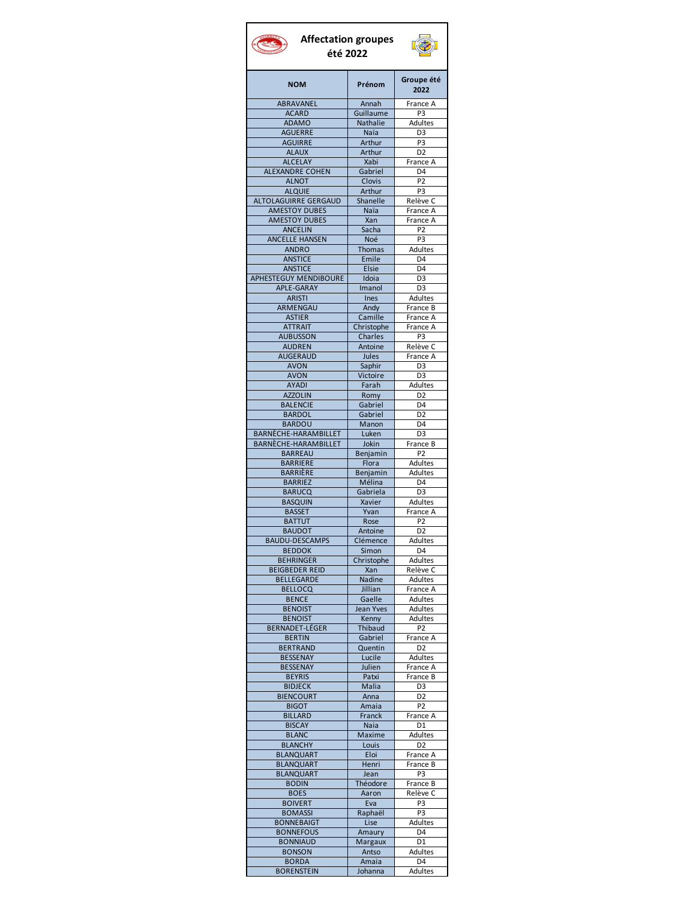## **Affectation groupes**  $\mathbb{C}$ **été 2022NOM Prénom Groupe été 2022** ABRAVANEL | Annah | France A ACARD Guillaume P3<br>ADAMO Nathalie Adultes **Nathalie** AGUERRE Naïa D3<br>AGUIRRE Arthur P3 AGUIRRE **Arthur** ALAUX Arthur D2<br>ALCELAY Xabi France Xabi France A<br>Gabriel D4 ALEXANDRE COHEN Gabriel D4 ALNOT Clovis P2 ALQUIE | Arthur | P3 ALTOLAGUIRRE GERGAUD Shanelle Relève C AMESTOY DUBES | Naïa | France A AMESTOY DUBES | Xan | France A ANCELIN Sacha P2<br>ELLE HANSEN Noé P3 ANCELLE HANSEN Noé P3<br>ANDRO Thomas Adultes ANDRO Thomas ANSTICE Emile D4 ANSTICE Elsie D4 APHESTEGUY MENDIBOURE Idoia D3<br>APLE-GARAY Imanol D3 APLE-GARAY ARISTI Ines Adultes ARMENGAU Andy France B ASTIER Camille France A ATTRAIT Christophe France A<br>AUBUSSON Charles P3 **AUBUSSON** AUDREN Antoine Relève C AUGERAUD | Jules | France A AVON Saphir D3 AVON Victoire D3<br>AVADI Farab Adultes AYADI | Farah AZZOLIN Romy D2<br>BALENCIE Gabriel D4 BALENCIE Gabriel D4<br>BARDOL Gabriel D2 BARDOL Gabriel BARDOU | Manon | D4 BARNÈCHE-HARAMBILLET Luken D3 BARNÈCHE-HARAMBILLET Jokin France B BARREAU Benjamin P2 BARRIERE | Flora | Adultes BARRIÈRE Benjamin Adultes<br>BARRIEZ Mélina D4 BARRIEZ Mélina D4<br>BARUCQ Gabriela D3 BARUCQ Gabriela BASQUIN | Xavier | Adultes BASSET Yvan France A BATTUT Rose P2<br>BAUDOT Antoine D2 **BAUDOT** BAUDU-DESCAMPS Clémence Adultes BEDDOK Simon D4<br>BEHRINGER Christophe Adultes **BEHRINGER BEIGBEDER REID** Xan Relève C<br>BELLEGARDE Nadine Adultes **BELLEGARDE** BELLOCQ | Jillian | France A BENCE Gaelle Adultes BENOIST Jean Yves Adultes BENOIST | Kenny | Adultes BERNADET-LÉGER Thibaud P2 BERTIN Gabriel France A BERTRAND | Quentin | D2 BESSENAY Lucile Adultes BESSENAY | Julien | France A BEYRIS Patxi France B<br>BIDJECK Malia D3 **BIDJECK** BIENCOURT | Anna | D2 BIGOT | Amaia | P2 BILLARD Franck France A<br>BISCAY Naia D1 **BISCAY** BLANC | Maxime Adultes BLANCHY | Louis | D2 BLANQUART | Eloi | France A BLANQUART Henri France B<br>BLANQUART Jean P3

**BLANQUART** 

BONNEBAIGT | Lise

BORDA | Amaia

BODIN | Théodore | France B BOES | Aaron Relève C BOIVERT | Eva | P3 BOMASSI Raphaël P3<br>ONNEBAIGT Lise Adultes

BONNEFOUS | Amaury | D4 BONNIAUD | Margaux | D1 BONSON Antso Adultes<br>BORDA Amaia D4

BORENSTEIN Johanna Adultes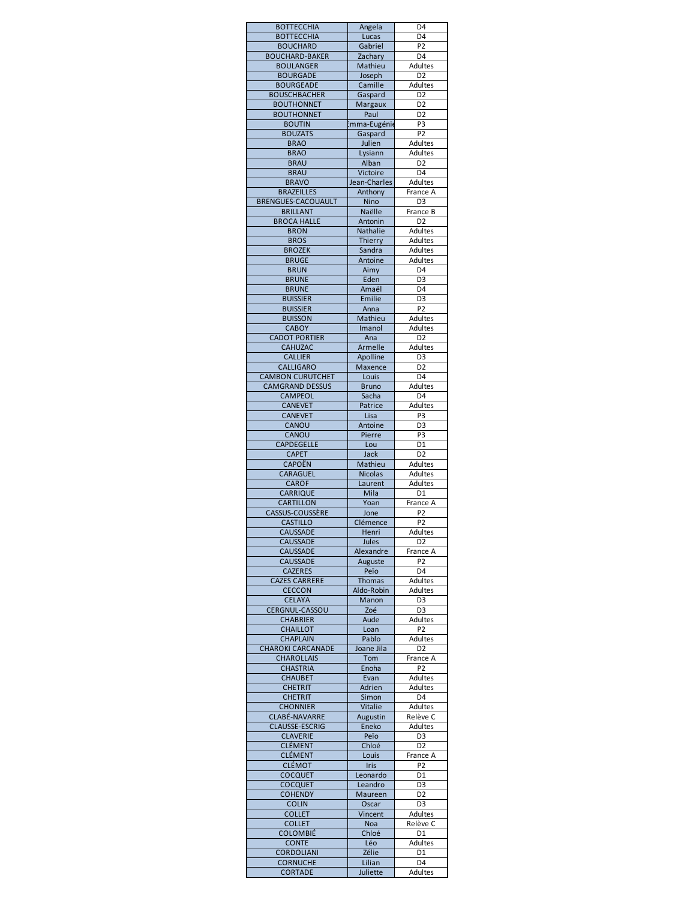| <b>BOTTECCHIA</b>                         | Angela              | D4                        |
|-------------------------------------------|---------------------|---------------------------|
| <b>BOTTECCHIA</b>                         | Lucas               | D4                        |
| <b>BOUCHARD</b>                           | Gabriel             | P2                        |
| <b>BOUCHARD-BAKER</b><br><b>BOULANGER</b> | Zachary<br>Mathieu  | D4<br>Adultes             |
| <b>BOURGADE</b>                           | Joseph              | D <sub>2</sub>            |
| <b>BOURGEADE</b>                          | Camille             | Adultes                   |
| <b>BOUSCHBACHER</b>                       | Gaspard             | D <sub>2</sub>            |
| <b>BOUTHONNET</b>                         | <b>Margaux</b>      | D <sub>2</sub>            |
| <b>BOUTHONNET</b>                         | Paul                | D <sub>2</sub>            |
| <b>BOUTIN</b>                             | mma-Eugénie         | P3                        |
| <b>BOUZATS</b>                            | Gaspard             | P <sub>2</sub>            |
| <b>BRAO</b><br><b>BRAO</b>                | Julien<br>Lysiann   | Adultes<br>Adultes        |
| <b>BRAU</b>                               | Alban               | D <sub>2</sub>            |
| <b>BRAU</b>                               | Victoire            | D <sub>4</sub>            |
| <b>BRAVO</b>                              | Jean-Charles        | Adultes                   |
| <b>BRAZEILLES</b>                         | Anthony             | France A                  |
| <b>BRENGUES-CACOUAULT</b>                 | Nino                | D <sub>3</sub>            |
| <b>BRILLANT</b>                           | Naëlle              | France B                  |
| <b>BROCA HALLE</b>                        | Antonin             | D <sub>2</sub>            |
| <b>BRON</b><br><b>BROS</b>                | Nathalie<br>Thierry | Adultes<br>Adultes        |
| <b>BROZEK</b>                             | Sandra              | Adultes                   |
| <b>BRUGE</b>                              | Antoine             | Adultes                   |
| <b>BRUN</b>                               | Aimy                | D4                        |
| <b>BRUNE</b>                              | Eden                | D <sub>3</sub>            |
| <b>BRUNE</b>                              | Amaël               | D4                        |
| <b>BUISSIER</b>                           | Emilie              | D <sub>3</sub>            |
| <b>BUISSIER</b>                           | Anna                | P <sub>2</sub>            |
| <b>BUISSON</b><br><b>CABOY</b>            | Mathieu<br>Imanol   | Adultes<br>Adultes        |
| <b>CADOT PORTIER</b>                      | Ana                 | D <sub>2</sub>            |
| CAHUZAC                                   | Armelle             | Adultes                   |
| <b>CALLIER</b>                            | Apolline            | D <sub>3</sub>            |
| CALLIGARO                                 | Maxence             | D <sub>2</sub>            |
| <b>CAMBON CURUTCHET</b>                   | Louis               | D4                        |
| <b>CAMGRAND DESSUS</b>                    | <b>Bruno</b>        | Adultes                   |
| CAMPEOL                                   | Sacha               | D4                        |
| <b>CANEVET</b>                            | Patrice             | Adultes                   |
| <b>CANEVET</b><br>CANOU                   | Lisa<br>Antoine     | P3<br>D <sub>3</sub>      |
| CANOU                                     | Pierre              | P3                        |
|                                           | Lou                 |                           |
|                                           |                     | D1                        |
| CAPDEGELLE<br><b>CAPET</b>                | Jack                | D <sub>2</sub>            |
| <b>CAPOËN</b>                             | Mathieu             | Adultes                   |
| <b>CARAGUEL</b>                           | <b>Nicolas</b>      | Adultes                   |
| <b>CAROF</b>                              | Laurent             | Adultes                   |
| <b>CARRIQUE</b>                           | Mila                | $\overline{D1}$           |
| <b>CARTILLON</b>                          | Yoan                | France A                  |
| CASSUS-COUSSÈRE                           | Jone                | P <sub>2</sub>            |
| <b>CASTILLO</b>                           | Clémence<br>Henri   | P <sub>2</sub><br>Adultes |
| <b>CAUSSADE</b><br><b>CAUSSADE</b>        | Jules               | D <sub>2</sub>            |
| CAUSSADE                                  | Alexandre           | France A                  |
| <b>CAUSSADE</b>                           | Auguste             | P2                        |
| <b>CAZERES</b>                            | Peïo                | D <sub>4</sub>            |
| <b>CAZES CARRERE</b>                      | <b>Thomas</b>       | Adultes                   |
| <b>CECCON</b>                             | Aldo-Robin          | <b>Adultes</b>            |
| <b>CELAYA</b>                             | Manon               | D3                        |
| CERGNUL-CASSOU<br><b>CHABRIER</b>         | Zoé<br>Aude         | D3<br>Adultes             |
| <b>CHAILLOT</b>                           | Loan                | P2                        |
| <b>CHAPLAIN</b>                           | Pablo               | Adultes                   |
| <b>CHAROKI CARCANADE</b>                  | Joane Jila          | D <sub>2</sub>            |
| <b>CHAROLLAIS</b>                         | Tom                 | France A                  |
| <b>CHASTRIA</b>                           | Enoha               | P <sub>2</sub>            |
| <b>CHAUBET</b>                            | Evan                | <b>Adultes</b>            |
| <b>CHETRIT</b>                            | Adrien              | Adultes                   |
| <b>CHETRIT</b><br><b>CHONNIER</b>         | Simon<br>Vitalie    | D4<br>Adultes             |
| CLABÉ-NAVARRE                             | Augustin            | Relève C                  |
| <b>CLAUSSE-ESCRIG</b>                     | Eneko               | <b>Adultes</b>            |
| <b>CLAVERIE</b>                           | Peïo                | D3                        |
| <b>CLÉMENT</b>                            | Chloé               | D <sub>2</sub>            |
| <b>CLÉMENT</b>                            | Louis               | France A                  |
| <b>CLÉMOT</b>                             | <b>Iris</b>         | P <sub>2</sub>            |
| <b>COCQUET</b>                            | Leonardo            | D1                        |
| <b>COCQUET</b><br><b>COHENDY</b>          | Leandro<br>Maureen  | D3<br>D2                  |
| <b>COLIN</b>                              | Oscar               | D3                        |
| <b>COLLET</b>                             | Vincent             | Adultes                   |
| <b>COLLET</b>                             | Noa                 | Relève C                  |
| <b>COLOMBIÉ</b>                           | Chloé               | D1                        |
| <b>CONTE</b>                              | Léo                 | <b>Adultes</b>            |
| <b>CORDOLIANI</b><br><b>CORNUCHE</b>      | Zélie<br>Lilian     | D1<br>D4                  |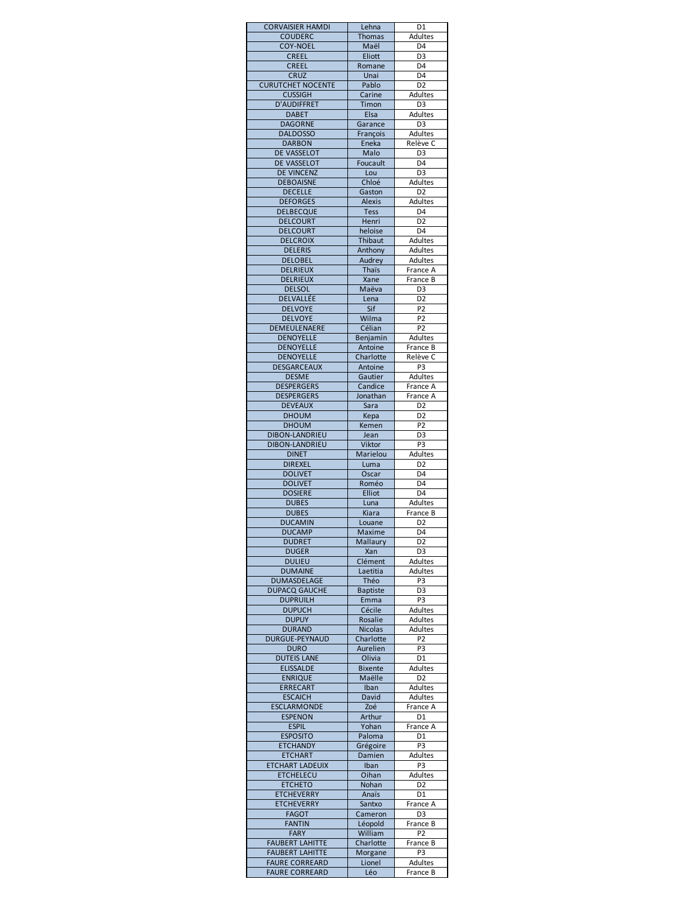| <b>CORVAISIER HAMDI</b>                        | Lehna                 | D1                               |
|------------------------------------------------|-----------------------|----------------------------------|
| <b>COUDERC</b>                                 | <b>Thomas</b>         | <b>Adultes</b>                   |
| <b>COY-NOEL</b><br><b>CREEL</b>                | Maël<br>Eliott        | D <sub>4</sub><br>D <sub>3</sub> |
| <b>CREEL</b>                                   | Romane                | D <sub>4</sub>                   |
| <b>CRUZ</b>                                    | Unai                  | D4                               |
| <b>CURUTCHET NOCENTE</b>                       | Pablo                 | D <sub>2</sub>                   |
| <b>CUSSIGH</b>                                 | Carine                | <b>Adultes</b>                   |
| <b>D'AUDIFFRET</b>                             | Timon                 | D <sub>3</sub>                   |
| <b>DABET</b>                                   | Elsa                  | Adultes                          |
| <b>DAGORNE</b><br><b>DALDOSSO</b>              | Garance<br>François   | D <sub>3</sub><br>Adultes        |
| <b>DARBON</b>                                  | Eneka                 | Relève C                         |
| <b>DE VASSELOT</b>                             | Malo                  | D <sub>3</sub>                   |
| DE VASSELOT                                    | Foucault              | D <sub>4</sub>                   |
| <b>DE VINCENZ</b>                              | Lou                   | D <sub>3</sub>                   |
| <b>DEBOAISNE</b>                               | Chloé                 | Adultes                          |
| <b>DECELLE</b>                                 | Gaston                | D <sub>2</sub>                   |
| <b>DEFORGES</b>                                | <b>Alexis</b>         | Adultes                          |
| <b>DELBECQUE</b><br><b>DELCOURT</b>            | Tess<br>Henri         | D4<br>D <sub>2</sub>             |
| <b>DELCOURT</b>                                | heloise               | D <sub>4</sub>                   |
| <b>DELCROIX</b>                                | Thibaut               | Adultes                          |
| <b>DELERIS</b>                                 | Anthony               | Adultes                          |
| <b>DELOBEL</b>                                 | Audrey                | Adultes                          |
| <b>DELRIEUX</b>                                | <b>Thaïs</b>          | France A                         |
| <b>DELRIEUX</b>                                | Xane                  | France B                         |
| <b>DELSOL</b><br>DELVALLÉE                     | Maëva                 | D <sub>3</sub><br>D <sub>2</sub> |
| <b>DELVOYE</b>                                 | Lena<br>Sif           | P <sub>2</sub>                   |
| <b>DELVOYE</b>                                 | Wilma                 | P <sub>2</sub>                   |
| DEMEULENAERE                                   | Célian                | P <sub>2</sub>                   |
| <b>DENOYELLE</b>                               | Benjamin              | Adultes                          |
| <b>DENOYELLE</b>                               | Antoine               | France B                         |
| <b>DENOYELLE</b>                               | Charlotte             | Relève C                         |
| <b>DESGARCEAUX</b>                             | Antoine               | <b>P3</b>                        |
| <b>DESME</b><br><b>DESPERGERS</b>              | Gautier               | Adultes                          |
| <b>DESPERGERS</b>                              | Candice<br>Jonathan   | France A<br>France A             |
| <b>DEVEAUX</b>                                 | Sara                  | D <sub>2</sub>                   |
| <b>DHOUM</b>                                   | Kepa                  | D <sub>2</sub>                   |
| <b>DHOUM</b>                                   | Kemen                 | P <sub>2</sub>                   |
| <b>DIBON-LANDRIEU</b>                          | Jean                  | D <sub>3</sub>                   |
| DIBON-LANDRIEU                                 | Viktor                | P <sub>3</sub>                   |
| <b>DINET</b>                                   | Marielou              | <b>Adultes</b>                   |
| <b>DIREXEL</b><br><b>DOLIVET</b>               | Luma                  | D <sub>2</sub><br>D <sub>4</sub> |
| <b>DOLIVET</b>                                 | Oscar<br>Roméo        | D <sub>4</sub>                   |
| <b>DOSIERE</b>                                 | Elliot                | D <sub>4</sub>                   |
| <b>DUBES</b>                                   | Luna                  | Adultes                          |
| <b>DUBES</b>                                   | Kiara                 | France B                         |
| <b>DUCAMIN</b>                                 | Louane                | D <sub>2</sub>                   |
| <b>DUCAMP</b>                                  | Maxime                | D4                               |
| <b>DUDRET</b>                                  | Mallaury              | D <sub>2</sub>                   |
| <b>DUGER</b>                                   | Xan                   | D <sub>3</sub>                   |
| <b>DULIEU</b><br><b>DUMAINE</b>                | Clément<br>Laetitia   | Adultes<br>Adultes               |
| DUMASDELAGE                                    | Théo                  | P3                               |
| <b>DUPACQ GAUCHE</b>                           | <b>Baptiste</b>       | D <sub>3</sub>                   |
| <b>DUPRUILH</b>                                | Emma                  | P3                               |
| <b>DUPUCH</b>                                  | Cécile                | Adultes                          |
| <b>DUPUY</b>                                   | Rosalie               | Adultes                          |
| <b>DURAND</b>                                  | <b>Nicolas</b>        | Adultes                          |
| <b>DURGUE-PEYNAUD</b><br><b>DURO</b>           | Charlotte<br>Aurelien | P <sub>2</sub><br>P3             |
| <b>DUTEIS LANE</b>                             | Olivia                | D1                               |
| <b>ELISSALDE</b>                               | <b>Bixente</b>        | Adultes                          |
| <b>ENRIQUE</b>                                 | Maëlle                | D <sub>2</sub>                   |
| <b>ERRECART</b>                                | Iban                  | Adultes                          |
| <b>ESCAICH</b>                                 | David                 | Adultes                          |
| <b>ESCLARMONDE</b>                             | Zoé                   | France A                         |
| <b>ESPENON</b>                                 | Arthur                | D1                               |
| <b>ESPIL</b><br><b>ESPOSITO</b>                | Yohan<br>Paloma       | France A<br>D <sub>1</sub>       |
| <b>ETCHANDY</b>                                | Grégoire              | P <sub>3</sub>                   |
| <b>ETCHART</b>                                 | Damien                | Adultes                          |
| <b>ETCHART LADEUIX</b>                         | Iban                  | P3                               |
| <b>ETCHELECU</b>                               | Oihan                 | <b>Adultes</b>                   |
| <b>ETCHETO</b>                                 | Nohan                 | D <sub>2</sub>                   |
| <b>ETCHEVERRY</b>                              | Anaïs                 | D1                               |
| <b>ETCHEVERRY</b>                              | Santxo                | France A                         |
| <b>FAGOT</b><br><b>FANTIN</b>                  | Cameron<br>Léopold    | D <sub>3</sub><br>France B       |
| <b>FARY</b>                                    | William               | P <sub>2</sub>                   |
| <b>FAUBERT LAHITTE</b>                         |                       |                                  |
|                                                | Charlotte             | France B                         |
| <b>FAUBERT LAHITTE</b>                         | Morgane               | P3                               |
| <b>FAURE CORREARD</b><br><b>FAURE CORREARD</b> | Lionel<br>Léo         | Adultes<br>France B              |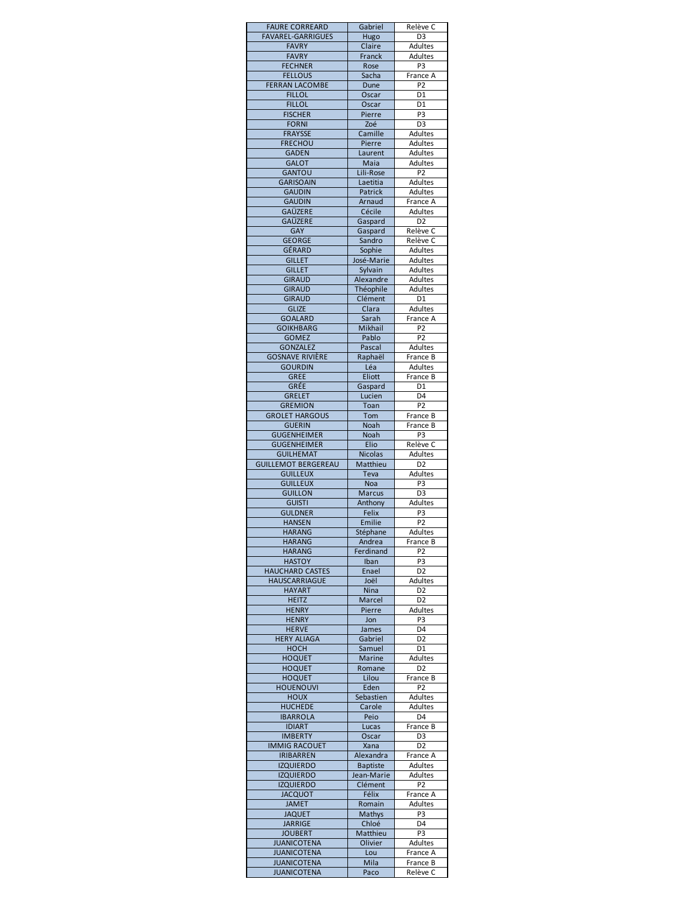| <b>FAURE CORREARD</b>                         | Gabriel                       | Relève C                          |
|-----------------------------------------------|-------------------------------|-----------------------------------|
| <b>FAVAREL-GARRIGUES</b><br><b>FAVRY</b>      | Hugo<br>Claire                | D <sub>3</sub><br>Adultes         |
| <b>FAVRY</b>                                  | Franck                        | Adultes                           |
| <b>FECHNER</b>                                | Rose                          | P <sub>3</sub>                    |
| <b>FELLOUS</b><br><b>FERRAN LACOMBE</b>       | Sacha<br>Dune                 | France A<br>P <sub>2</sub>        |
| <b>FILLOL</b>                                 | Oscar                         | D1                                |
| <b>FILLOL</b>                                 | Oscar                         | D1                                |
| <b>FISCHER</b><br><b>FORNI</b>                | Pierre<br>Zoé                 | P <sub>3</sub><br>D <sub>3</sub>  |
| <b>FRAYSSE</b>                                | Camille                       | <b>Adultes</b>                    |
| <b>FRECHOU</b>                                | Pierre                        | Adultes                           |
| <b>GADEN</b>                                  | Laurent                       | <b>Adultes</b>                    |
| <b>GALOT</b><br><b>GANTOU</b>                 | Maia<br>Lili-Rose             | Adultes<br>P <sub>2</sub>         |
| <b>GARISOAIN</b>                              | Laetitia                      | Adultes                           |
| <b>GAUDIN</b>                                 | Patrick                       | Adultes                           |
| <b>GAUDIN</b><br>GAÜZERE                      | Arnaud<br>Cécile              | France A<br>Adultes               |
| <b>GAÜZERE</b>                                | Gaspard                       | D <sub>2</sub>                    |
| GAY                                           | Gaspard                       | Relève C                          |
| <b>GEORGE</b><br>GÉRARD                       | Sandro                        | Relève C                          |
| <b>GILLET</b>                                 | Sophie<br>José-Marie          | Adultes<br>Adultes                |
| <b>GILLET</b>                                 | Sylvain                       | <b>Adultes</b>                    |
| <b>GIRAUD</b>                                 | Alexandre                     | <b>Adultes</b>                    |
| <b>GIRAUD</b><br><b>GIRAUD</b>                | Théophile<br>Clément          | <b>Adultes</b><br>D <sub>1</sub>  |
| <b>GLIZE</b>                                  | Clara                         | Adultes                           |
| <b>GOALARD</b>                                | Sarah                         | France A                          |
| <b>GOIKHBARG</b><br><b>GOMEZ</b>              | Mikhail<br>Pablo              | P <sub>2</sub><br>$\overline{P2}$ |
| <b>GONZALEZ</b>                               | Pascal                        | Adultes                           |
| <b>GOSNAVE RIVIÈRE</b>                        | Raphaël                       | France B                          |
| <b>GOURDIN</b>                                | Léa                           | Adultes                           |
| <b>GREE</b><br>GRÉE                           | Eliott<br>Gaspard             | France B<br>D <sub>1</sub>        |
| <b>GRELET</b>                                 | Lucien                        | D <sub>4</sub>                    |
| <b>GREMION</b>                                | Toan                          | P <sub>2</sub>                    |
| <b>GROLET HARGOUS</b><br><b>GUERIN</b>        | Tom<br>Noah                   | France B<br>France B              |
| <b>GUGENHEIMER</b>                            | Noah                          | P3                                |
| <b>GUGENHEIMER</b>                            | Elio                          | Relève C                          |
| <b>GUILHEMAT</b>                              | <b>Nicolas</b>                | Adultes                           |
| <b>GUILLEMOT BERGEREAU</b><br><b>GUILLEUX</b> | Matthieu<br><b>Teva</b>       | D <sub>2</sub><br>Adultes         |
| <b>GUILLEUX</b>                               | <b>Noa</b>                    | P3                                |
| <b>GUILLON</b>                                | Marcus                        | D <sub>3</sub>                    |
| <b>GUISTI</b><br><b>GULDNER</b>               | Anthony<br>Felix              | Adultes<br>P3                     |
| <b>HANSEN</b>                                 | Emilie                        | P <sub>2</sub>                    |
| HAKANG                                        | Stephane                      | Adultes                           |
| <b>HARANG</b><br><b>HARANG</b>                | Andrea<br>Ferdinand           | France B<br>P <sub>2</sub>        |
| <b>HASTOY</b>                                 | Iban                          | P <sub>3</sub>                    |
| <b>HAUCHARD CASTES</b>                        | Enael                         | D <sub>2</sub>                    |
| HAUSCARRIAGUE                                 | Joël                          | Adultes                           |
| <b>HAYART</b><br><b>HEITZ</b>                 | Nina<br>Marcel                | D <sub>2</sub><br>D <sub>2</sub>  |
| <b>HENRY</b>                                  | Pierre                        |                                   |
|                                               |                               | <b>Adultes</b>                    |
| <b>HENRY</b>                                  | Jon                           | P3                                |
| <b>HERVE</b>                                  | James                         | D4                                |
| <b>HERY ALIAGA</b><br><b>HOCH</b>             | Gabriel<br>Samuel             | D <sub>2</sub><br>D1              |
| <b>HOQUET</b>                                 | Marine                        | Adultes                           |
| <b>HOQUET</b>                                 | Romane                        | D <sub>2</sub>                    |
| <b>HOQUET</b>                                 | Lilou                         | France B<br>P <sub>2</sub>        |
| <b>HOUENOUVI</b><br><b>HOUX</b>               | Eden<br>Sebastien             | Adultes                           |
| <b>HUCHEDE</b>                                | Carole                        | <b>Adultes</b>                    |
| <b>IBARROLA</b><br><b>IDIART</b>              | Peio<br>Lucas                 | D4<br>France B                    |
| <b>IMBERTY</b>                                | Oscar                         | D3                                |
| <b>IMMIG RACOUET</b>                          | Xana                          | D <sub>2</sub>                    |
| <b>IRIBARREN</b>                              | Alexandra                     | France A                          |
| <b>IZQUIERDO</b><br><b>IZQUIERDO</b>          | <b>Baptiste</b><br>Jean-Marie | Adultes<br><b>Adultes</b>         |
| <b>IZQUIERDO</b>                              | Clément                       | P2                                |
| <b>JACQUOT</b>                                | Félix                         | France A                          |
| <b>JAMET</b><br><b>JAQUET</b>                 | Romain<br>Mathys              | Adultes<br>P3                     |
| <b>JARRIGE</b>                                | Chloé                         | D4                                |
| <b>JOUBERT</b>                                | Matthieu                      | P3                                |
| <b>JUANICOTENA</b>                            | Olivier                       | Adultes                           |
| <b>JUANICOTENA</b><br><b>JUANICOTENA</b>      | Lou<br>Mila                   | France A<br>France B              |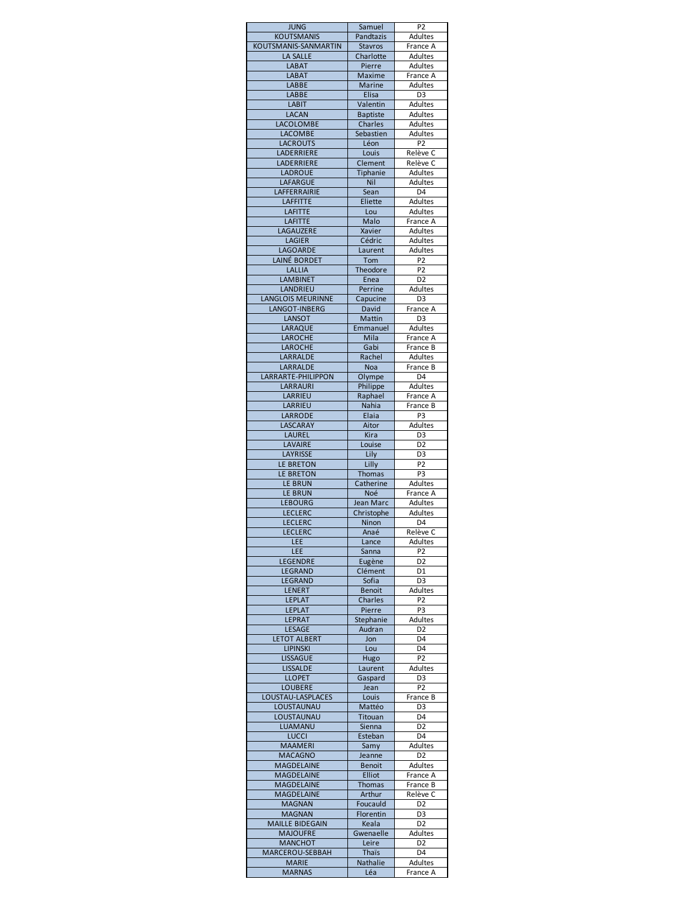| <b>JUNG</b>                             | Samuel              | P <sub>2</sub>                   |
|-----------------------------------------|---------------------|----------------------------------|
| <b>KOUTSMANIS</b>                       | Pandtazis           | <b>Adultes</b>                   |
| KOUTSMANIS-SANMARTIN<br><b>LA SALLE</b> | <b>Stavros</b>      | France A<br>Adultes              |
| <b>LABAT</b>                            | Charlotte<br>Pierre | Adultes                          |
| <b>LABAT</b>                            | <b>Maxime</b>       | France A                         |
| <b>LABBE</b>                            | <b>Marine</b>       | <b>Adultes</b>                   |
| <b>LABBE</b>                            | Elisa               | D <sub>3</sub>                   |
| <b>LABIT</b>                            | Valentin            | Adultes                          |
| <b>LACAN</b>                            | <b>Baptiste</b>     | Adultes                          |
| LACOLOMBE                               | Charles             | Adultes                          |
| <b>LACOMBE</b><br><b>LACROUTS</b>       | Sebastien<br>Léon   | <b>Adultes</b><br>P <sub>2</sub> |
| LADERRIERE                              | Louis               | Relève C                         |
| LADERRIERE                              | Clement             | Relève C                         |
| <b>LADROUE</b>                          | Tiphanie            | Adultes                          |
| <b>LAFARGUE</b>                         | Nil                 | Adultes                          |
| LAFFERRAIRIE                            | Sean                | D <sub>4</sub>                   |
| <b>LAFFITTE</b>                         | Eliette             | Adultes                          |
| <b>LAFITTE</b>                          | Lou                 | Adultes                          |
| <b>LAFITTE</b><br>LAGAUZERE             | Malo<br>Xavier      | France A<br>Adultes              |
| <b>LAGIER</b>                           | Cédric              | Adultes                          |
| LAGOARDE                                | Laurent             | Adultes                          |
| LAINÉ BORDET                            | Tom                 | P <sub>2</sub>                   |
| LALLIA                                  | Theodore            | P <sub>2</sub>                   |
| <b>LAMBINET</b>                         | Enea                | D <sub>2</sub>                   |
| <b>LANDRIEU</b>                         | Perrine             | Adultes                          |
| <b>LANGLOIS MEURINNE</b>                | Capucine            | D <sub>3</sub>                   |
| <b>LANGOT-INBERG</b>                    | David               | France A                         |
| <b>LANSOT</b><br>LARAQUE                | Mattin<br>Emmanuel  | D <sub>3</sub><br>Adultes        |
| <b>LAROCHE</b>                          | Mila                | France A                         |
| <b>LAROCHE</b>                          | Gabi                | France B                         |
| LARRALDE                                | Rachel              | Adultes                          |
| LARRALDE                                | Noa                 | France B                         |
| LARRARTE-PHILIPPON                      | Olympe              | D <sub>4</sub>                   |
| LARRAURI                                | Philippe            | Adultes                          |
| LARRIEU                                 | Raphael             | France A                         |
| LARRIEU                                 | Nahia               | France B                         |
| LARRODE                                 | Elaia               | P3                               |
| LASCARAY                                | Aitor               | Adultes                          |
| <b>LAUREL</b><br><b>LAVAIRE</b>         | Kira<br>Louise      | D <sub>3</sub><br>D <sub>2</sub> |
| LAYRISSE                                | Lily                | D <sub>3</sub>                   |
| LE BRETON                               | Lilly               | P <sub>2</sub>                   |
| LE BRETON                               | <b>Thomas</b>       | P <sub>3</sub>                   |
| <b>LE BRUN</b>                          | Catherine           | Adultes                          |
| <b>LE BRUN</b>                          | Noé                 | France A                         |
| <b>LEBOURG</b>                          | Jean Marc           | Adultes                          |
| <b>LECLERC</b>                          | Christophe          | <b>Adultes</b>                   |
| <b>LECLERC</b>                          | Ninon               | D <sub>4</sub>                   |
| LECLERC                                 | Anaé                | Relève C                         |
| LEE<br>LEE                              | Lance<br>Sanna      | Adultes<br>P <sub>2</sub>        |
| LEGENDRE                                | Eugène              | D <sub>2</sub>                   |
| LEGRAND                                 | Clément             | D1                               |
| LEGRAND                                 | Sofia               | D3                               |
| <b>LENERT</b>                           | <b>Benoit</b>       | <b>Adultes</b>                   |
| <b>LEPLAT</b>                           | <b>Charles</b>      | P <sub>2</sub>                   |
| <b>LEPLAT</b>                           | Pierre              | P <sub>3</sub>                   |
| <b>LEPRAT</b>                           | Stephanie           | Adultes                          |
| <b>LESAGE</b>                           | Audran              | D <sub>2</sub>                   |
| <b>LETOT ALBERT</b><br><b>LIPINSKI</b>  | Jon<br>Lou          | D4<br>D4                         |
| <b>LISSAGUE</b>                         | Hugo                | P <sub>2</sub>                   |
| <b>LISSALDE</b>                         | Laurent             | Adultes                          |
| <b>LLOPET</b>                           | Gaspard             | D <sub>3</sub>                   |
| <b>LOUBERE</b>                          | Jean                | P <sub>2</sub>                   |
| LOUSTAU-LASPLACES                       | Louis               | France B                         |
| LOUSTAUNAU                              | Mattéo              | D <sub>3</sub>                   |
| LOUSTAUNAU                              | Titouan             | D4                               |
| LUAMANU                                 | Sienna              | D <sub>2</sub>                   |
| <b>LUCCI</b>                            | Esteban             | D4                               |
| <b>MAAMERI</b><br><b>MACAGNO</b>        | Samy<br>Jeanne      | <b>Adultes</b><br>D <sub>2</sub> |
| <b>MAGDELAINE</b>                       | <b>Benoit</b>       | Adultes                          |
| <b>MAGDELAINE</b>                       | Elliot              | France A                         |
| MAGDELAINE                              | <b>Thomas</b>       | France B                         |
| <b>MAGDELAINE</b>                       | Arthur              | Relève C                         |
| <b>MAGNAN</b>                           | Foucauld            | D <sub>2</sub>                   |
| <b>MAGNAN</b>                           | Florentin           | D <sub>3</sub>                   |
|                                         |                     |                                  |
| <b>MAILLE BIDEGAIN</b>                  | Keala               | D <sub>2</sub>                   |
| <b>MAJOUFRE</b>                         | Gwenaelle           | <b>Adultes</b>                   |
| <b>MANCHOT</b>                          | Leire               | D <sub>2</sub>                   |
| MARCEROU-SEBBAH                         | Thaïs               | D4                               |
| <b>MARIE</b><br><b>MARNAS</b>           | Nathalie<br>Léa     | Adultes<br>France A              |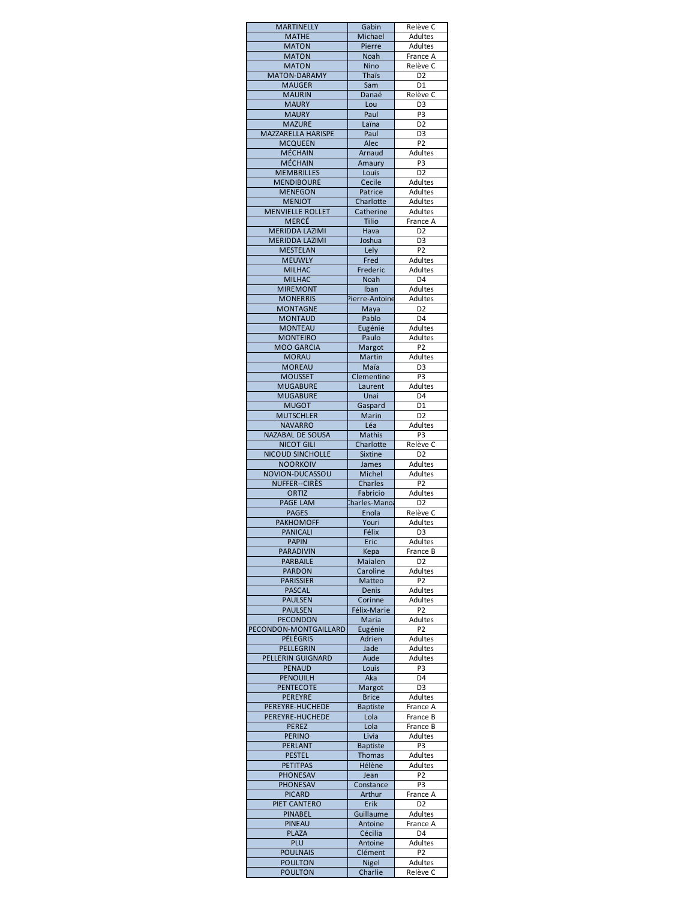| <b>MARTINELLY</b>                     | Gabin                   | Relève C                         |
|---------------------------------------|-------------------------|----------------------------------|
| <b>MATHE</b>                          | Michael                 | Adultes                          |
| <b>MATON</b>                          | Pierre                  | Adultes                          |
| <b>MATON</b><br><b>MATON</b>          | Noah<br>Nino            | France A<br>Relève C             |
| <b>MATON-DARAMY</b>                   | <b>Thaïs</b>            | D <sub>2</sub>                   |
| <b>MAUGER</b>                         | Sam                     | $\overline{D1}$                  |
| <b>MAURIN</b>                         | Danaé                   | Relève C                         |
| <b>MAURY</b>                          | Lou                     | D <sub>3</sub>                   |
| <b>MAURY</b>                          | Paul                    | P3                               |
| <b>MAZURE</b>                         | Laïna                   | D <sub>2</sub>                   |
| MAZZARELLA HARISPE                    | Paul                    | D <sub>3</sub>                   |
| <b>MCQUEEN</b>                        | Alec                    | P <sub>2</sub>                   |
| MÉCHAIN<br><b>MÉCHAIN</b>             | Arnaud                  | Adultes<br>P <sub>3</sub>        |
| <b>MEMBRILLES</b>                     | Amaury<br>Louis         | D <sub>2</sub>                   |
| <b>MENDIBOURE</b>                     | Cecile                  | Adultes                          |
| <b>MENEGON</b>                        | Patrice                 | Adultes                          |
| <b>MENJOT</b>                         | Charlotte               | Adultes                          |
| <b>MENVIELLE ROLLET</b>               | Catherine               | <b>Adultes</b>                   |
| <b>MERCÉ</b>                          | Tilio                   | France A                         |
| <b>MERIDDA LAZIMI</b>                 | Hava                    | D <sub>2</sub>                   |
| <b>MERIDDA LAZIMI</b>                 | Joshua                  | D <sub>3</sub>                   |
| <b>MESTELAN</b>                       | Lely                    | P <sub>2</sub>                   |
| <b>MEUWLY</b>                         | Fred                    | Adultes                          |
| <b>MILHAC</b>                         | Frederic                | <b>Adultes</b>                   |
| <b>MILHAC</b><br><b>MIREMONT</b>      | Noah<br>Iban            | D <sub>4</sub><br><b>Adultes</b> |
| <b>MONERRIS</b>                       | Pierre-Antoine          | Adultes                          |
| <b>MONTAGNE</b>                       | Maya                    | D <sub>2</sub>                   |
| <b>MONTAUD</b>                        | Pablo                   | D <sub>4</sub>                   |
| <b>MONTEAU</b>                        | Eugénie                 | <b>Adultes</b>                   |
| <b>MONTEIRO</b>                       | Paulo                   | Adultes                          |
| <b>MOO GARCIA</b>                     | Margot                  | P <sub>2</sub>                   |
| <b>MORAU</b>                          | Martin                  | Adultes                          |
| <b>MOREAU</b>                         | Maïa                    | D <sub>3</sub>                   |
| <b>MOUSSET</b>                        | Clementine              | P <sub>3</sub>                   |
| <b>MUGABURE</b>                       | Laurent                 | <b>Adultes</b>                   |
| <b>MUGABURE</b>                       | Unai                    | D4                               |
| <b>MUGOT</b>                          | Gaspard                 | D1                               |
| <b>MUTSCHLER</b><br><b>NAVARRO</b>    | Marin<br>Léa            | D <sub>2</sub><br>Adultes        |
| <b>NAZABAL DE SOUSA</b>               | Mathis                  | P3                               |
| <b>NICOT GILI</b>                     | Charlotte               | Relève C                         |
| <b>NICOUD SINCHOLLE</b>               | Sixtine                 | D <sub>2</sub>                   |
| <b>NOORKOIV</b>                       | James                   | Adultes                          |
| NOVION-DUCASSOU                       | Michel                  | Adultes                          |
|                                       | Charles                 |                                  |
| <b>NUFFER--CIRES</b>                  |                         | P <sub>2</sub>                   |
| ORTIZ                                 | Fabricio                | Adultes                          |
| <b>PAGE LAM</b>                       | harles-Manoa            | D <sub>2</sub>                   |
| <b>PAGES</b>                          | Enola                   | Relève C                         |
| <b>PAKHOMOFF</b>                      | Youri                   | Adultes                          |
| <b>PANICALI</b>                       | Félix                   | D3                               |
| <b>PAPIN</b>                          | Eric                    | <b>Adultes</b>                   |
| <b>PARADIVIN</b><br><b>PARBAILE</b>   | Kepa<br>Maialen         | France B<br>D <sub>2</sub>       |
| <b>PARDON</b>                         | Caroline                | Adultes                          |
| <b>PARISSIER</b>                      | Matteo                  | P <sub>2</sub>                   |
| <b>PASCAL</b>                         | Denis                   | <b>Adultes</b>                   |
| <b>PAULSEN</b>                        | Corinne                 | <b>Adultes</b>                   |
| <b>PAULSEN</b>                        | Félix-Marie             | P2                               |
| <b>PECONDON</b>                       | Maria                   | Adultes                          |
| PECONDON-MONTGAILLARD                 | Eugénie                 | P <sub>2</sub>                   |
| PÉLÉGRIS                              | Adrien                  | Adultes                          |
| PELLEGRIN<br><b>PELLERIN GUIGNARD</b> | Jade                    | Adultes                          |
| <b>PENAUD</b>                         | Aude<br>Louis           | <b>Adultes</b><br>P3             |
| <b>PENOUILH</b>                       | Aka                     | D4                               |
| <b>PENTECOTE</b>                      | Margot                  | D <sub>3</sub>                   |
| PEREYRE                               | <b>Brice</b>            | Adultes                          |
| PEREYRE-HUCHEDE                       | <b>Baptiste</b>         | France A                         |
| PEREYRE-HUCHEDE                       | Lola                    | France B                         |
| <b>PEREZ</b>                          | Lola                    | France B                         |
| <b>PERINO</b>                         | Livia                   | <b>Adultes</b>                   |
| <b>PERLANT</b>                        | <b>Baptiste</b>         | P <sub>3</sub>                   |
| <b>PESTEL</b><br><b>PETITPAS</b>      | <b>Thomas</b><br>Hélène | Adultes<br>Adultes               |
| <b>PHONESAV</b>                       | Jean                    | P <sub>2</sub>                   |
| <b>PHONESAV</b>                       | Constance               | P3                               |
| <b>PICARD</b>                         | Arthur                  | France A                         |
| PIET CANTERO                          | Erik                    | D <sub>2</sub>                   |
| <b>PINABEL</b>                        | Guillaume               | <b>Adultes</b>                   |
| <b>PINEAU</b>                         | Antoine                 | France A                         |
| <b>PLAZA</b>                          | Cécilia                 | D4                               |
| PLU                                   | Antoine                 | <b>Adultes</b>                   |
| <b>POULNAIS</b><br><b>POULTON</b>     | Clément<br>Nigel        | P <sub>2</sub><br>Adultes        |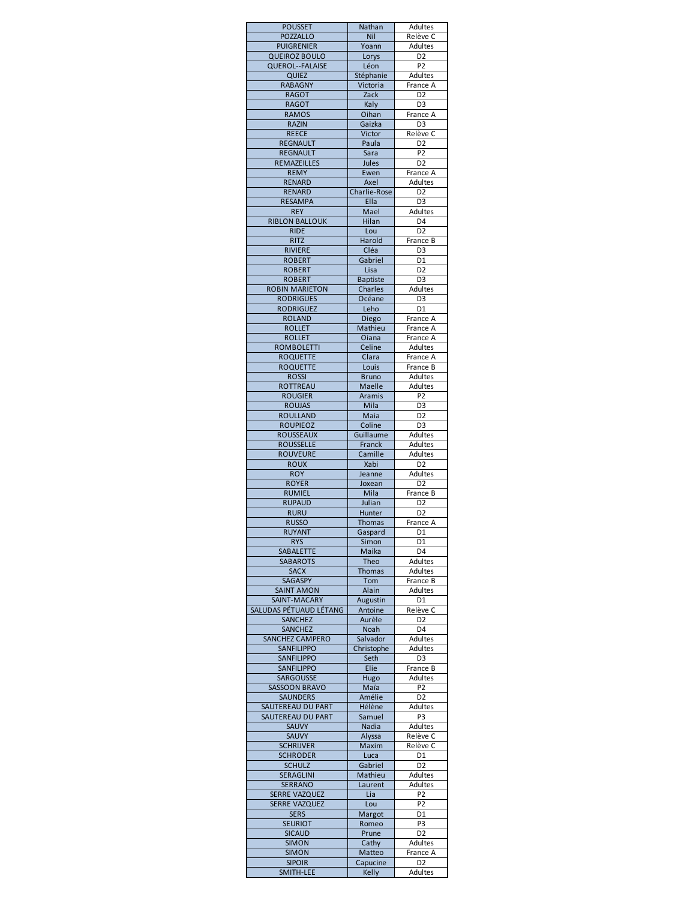| <b>POUSSET</b>                               | Nathan                | Adultes                          |
|----------------------------------------------|-----------------------|----------------------------------|
| <b>POZZALLO</b><br><b>PUIGRENIER</b>         | Nil<br>Yoann          | Relève C<br>Adultes              |
| <b>QUEIROZ BOULO</b>                         | Lorys                 | D <sub>2</sub>                   |
| QUEROL--FALAISE                              | Léon                  | P <sub>2</sub>                   |
| QUIEZ<br><b>RABAGNY</b>                      | Stéphanie<br>Victoria | Adultes<br>France A              |
| <b>RAGOT</b>                                 | Zack                  | D <sub>2</sub>                   |
| <b>RAGOT</b>                                 | Kaly                  | D <sub>3</sub>                   |
| <b>RAMOS</b><br><b>RAZIN</b>                 | Oihan<br>Gaizka       | France A<br>D <sub>3</sub>       |
| <b>REECE</b>                                 | Victor                | Relève C                         |
| <b>REGNAULT</b>                              | Paula                 | D <sub>2</sub>                   |
| <b>REGNAULT</b>                              | Sara                  | $\overline{P2}$                  |
| REMAZEILLES<br><b>REMY</b>                   | Jules<br>Ewen         | D <sub>2</sub><br>France A       |
| <b>RENARD</b>                                | Axel                  | Adultes                          |
| <b>RENARD</b>                                | Charlie-Rose          | D <sub>2</sub>                   |
| <b>RESAMPA</b><br><b>REY</b>                 | Ella<br>Mael          | D <sub>3</sub><br>Adultes        |
| <b>RIBLON BALLOUK</b>                        | Hilan                 | $D\bar{4}$                       |
| <b>RIDE</b>                                  | Lou                   | D <sub>2</sub>                   |
| <b>RITZ</b>                                  | Harold                | France B                         |
| <b>RIVIERE</b><br><b>ROBERT</b>              | Cléa<br>Gabriel       | D3<br>D <sub>1</sub>             |
| <b>ROBERT</b>                                | Lisa                  | D <sub>2</sub>                   |
| <b>ROBERT</b>                                | <b>Baptiste</b>       | D <sub>3</sub>                   |
| <b>ROBIN MARIETON</b><br><b>RODRIGUES</b>    | Charles<br>Océane     | <b>Adultes</b><br>D <sub>3</sub> |
| <b>RODRIGUEZ</b>                             | Leho                  | D <sub>1</sub>                   |
| <b>ROLAND</b>                                | Diego                 | France A                         |
| <b>ROLLET</b>                                | Mathieu               | France A                         |
| <b>ROLLET</b><br><b>ROMBOLETTI</b>           | Oiana<br>Celine       | France A<br>Adultes              |
| <b>ROQUETTE</b>                              | Clara                 | France A                         |
| <b>ROQUETTE</b>                              | Louis                 | France B                         |
| <b>ROSSI</b>                                 | <b>Bruno</b>          | Adultes                          |
| <b>ROTTREAU</b><br><b>ROUGIER</b>            | Maelle<br>Aramis      | Adultes<br>P <sub>2</sub>        |
| <b>ROUJAS</b>                                | Mila                  | D <sub>3</sub>                   |
| <b>ROULLAND</b>                              | Maia                  | D <sub>2</sub>                   |
| <b>ROUPIEOZ</b>                              | Coline                | D <sub>3</sub>                   |
| <b>ROUSSEAUX</b><br><b>ROUSSELLE</b>         | Guillaume<br>Franck   | Adultes<br>Adultes               |
| <b>ROUVEURE</b>                              | Camille               | Adultes                          |
| <b>ROUX</b>                                  | Xabi                  | D <sub>2</sub>                   |
| <b>ROY</b>                                   | Jeanne                | Adultes<br>D <sub>2</sub>        |
| <b>ROYER</b><br><b>RUMIEL</b>                | Joxean<br>Mila        | France B                         |
| <b>RUPAUD</b>                                | Julian                | D <sub>2</sub>                   |
| <b>RURU</b>                                  | Hunter                | D <sub>2</sub>                   |
| <b>RUSSO</b><br>RUYANT                       | <b>Thomas</b>         | France A<br>D1                   |
| <b>RYS</b>                                   | Gaspard<br>Simon      | D1                               |
| SABALETTE                                    | Maika                 | D <sub>4</sub>                   |
| <b>SABAROTS</b><br><b>SACX</b>               | Theo<br><b>Thomas</b> | Adultes<br>Adultes               |
| SAGASPY                                      | Tom                   | France B                         |
| <b>SAINT AMON</b>                            | Alain                 | <b>Adultes</b>                   |
| SAINT-MACARY                                 | Augustin              | D1                               |
| SALUDAS PÉTUAUD LÉTANG<br><b>SANCHEZ</b>     | Antoine<br>Aurèle     | Relève C<br>D <sub>2</sub>       |
| <b>SANCHEZ</b>                               | Noah                  | D <sub>4</sub>                   |
| SANCHEZ CAMPERO                              | Salvador              | Adultes                          |
| SANFILIPPO                                   | Christophe            | Adultes                          |
| <b>SANFILIPPO</b><br>SANFILIPPO              | Seth<br>Elie          | D <sub>3</sub><br>France B       |
| <b>SARGOUSSE</b>                             | Hugo                  | Adultes                          |
| <b>SASSOON BRAVO</b>                         | Maïa                  | P <sub>2</sub>                   |
| <b>SAUNDERS</b><br>SAUTEREAU DU PART         | Amélie<br>Hélène      | D <sub>2</sub><br>Adultes        |
| SAUTEREAU DU PART                            | Samuel                | P3                               |
| <b>SAUVY</b>                                 | Nadia                 | Adultes                          |
| <b>SAUVY</b>                                 | Alyssa                | Relève C                         |
| <b>SCHRIJVER</b><br><b>SCHRODER</b>          | Maxim<br>Luca         | Relève C<br>D <sub>1</sub>       |
| <b>SCHULZ</b>                                | Gabriel               | D <sub>2</sub>                   |
| <b>SERAGLINI</b>                             | Mathieu               | Adultes                          |
| <b>SERRANO</b>                               | Laurent               | Adultes                          |
| <b>SERRE VAZQUEZ</b><br><b>SERRE VAZQUEZ</b> | Lia<br>Lou            | P <sub>2</sub><br>P <sub>2</sub> |
| <b>SERS</b>                                  | Margot                | D1                               |
| <b>SEURIOT</b>                               | Romeo                 | P3                               |
| <b>SICAUD</b>                                | Prune                 | D <sub>2</sub>                   |
| <b>SIMON</b><br><b>SIMON</b>                 | Cathy<br>Matteo       | Adultes<br>France A              |
| <b>SIPOIR</b>                                | Capucine              | D <sub>2</sub>                   |
| SMITH-LEE                                    | Kelly                 | Adultes                          |